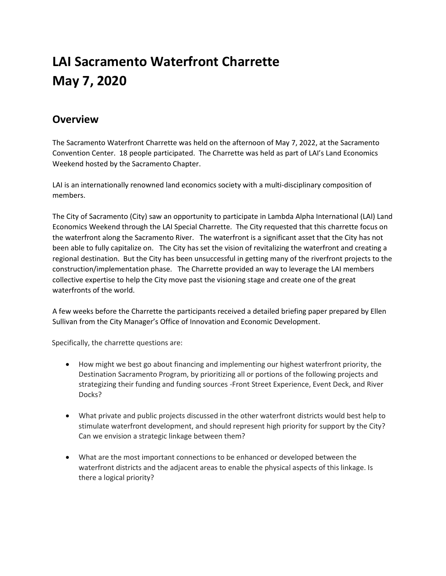## **LAI Sacramento Waterfront Charrette May 7, 2020**

## **Overview**

The Sacramento Waterfront Charrette was held on the afternoon of May 7, 2022, at the Sacramento Convention Center. 18 people participated. The Charrette was held as part of LAI's Land Economics Weekend hosted by the Sacramento Chapter.

LAI is an internationally renowned land economics society with a multi-disciplinary composition of members.

The City of Sacramento (City) saw an opportunity to participate in Lambda Alpha International (LAI) Land Economics Weekend through the LAI Special Charrette. The City requested that this charrette focus on the waterfront along the Sacramento River. The waterfront is a significant asset that the City has not been able to fully capitalize on. The City has set the vision of revitalizing the waterfront and creating a regional destination. But the City has been unsuccessful in getting many of the riverfront projects to the construction/implementation phase. The Charrette provided an way to leverage the LAI members collective expertise to help the City move past the visioning stage and create one of the great waterfronts of the world.

A few weeks before the Charrette the participants received a detailed briefing paper prepared by Ellen Sullivan from the City Manager's Office of Innovation and Economic Development.

Specifically, the charrette questions are:

- How might we best go about financing and implementing our highest waterfront priority, the Destination Sacramento Program, by prioritizing all or portions of the following projects and strategizing their funding and funding sources -Front Street Experience, Event Deck, and River Docks?
- What private and public projects discussed in the other waterfront districts would best help to stimulate waterfront development, and should represent high priority for support by the City? Can we envision a strategic linkage between them?
- What are the most important connections to be enhanced or developed between the waterfront districts and the adjacent areas to enable the physical aspects of this linkage. Is there a logical priority?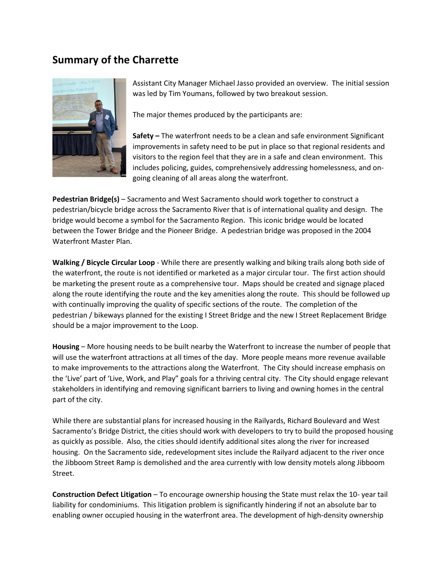## **Summary of the Charrette**



Assistant City Manager Michael Jasso provided an overview. The initial session was led by Tim Youmans, followed by two breakout session.

The major themes produced by the participants are:

**Safety –** The waterfront needs to be a clean and safe environment Significant improvements in safety need to be put in place so that regional residents and visitors to the region feel that they are in a safe and clean environment. This includes policing, guides, comprehensively addressing homelessness, and ongoing cleaning of all areas along the waterfront.

**Pedestrian Bridge(s)** – Sacramento and West Sacramento should work together to construct a pedestrian/bicycle bridge across the Sacramento River that is of international quality and design. The bridge would become a symbol for the Sacramento Region. This iconic bridge would be located between the Tower Bridge and the Pioneer Bridge. A pedestrian bridge was proposed in the 2004 Waterfront Master Plan.

**Walking / Bicycle Circular Loop** - While there are presently walking and biking trails along both side of the waterfront, the route is not identified or marketed as a major circular tour. The first action should be marketing the present route as a comprehensive tour. Maps should be created and signage placed along the route identifying the route and the key amenities along the route. This should be followed up with continually improving the quality of specific sections of the route. The completion of the pedestrian / bikeways planned for the existing I Street Bridge and the new I Street Replacement Bridge should be a major improvement to the Loop.

**Housing** – More housing needs to be built nearby the Waterfront to increase the number of people that will use the waterfront attractions at all times of the day. More people means more revenue available to make improvements to the attractions along the Waterfront. The City should increase emphasis on the 'Live' part of 'Live, Work, and Play" goals for a thriving central city. The City should engage relevant stakeholders in identifying and removing significant barriers to living and owning homes in the central part of the city.

While there are substantial plans for increased housing in the Railyards, Richard Boulevard and West Sacramento's Bridge District, the cities should work with developers to try to build the proposed housing as quickly as possible. Also, the cities should identify additional sites along the river for increased housing. On the Sacramento side, redevelopment sites include the Railyard adjacent to the river once the Jibboom Street Ramp is demolished and the area currently with low density motels along Jibboom Street.

**Construction Defect Litigation** – To encourage ownership housing the State must relax the 10- year tail liability for condominiums. This litigation problem is significantly hindering if not an absolute bar to enabling owner occupied housing in the waterfront area. The development of high-density ownership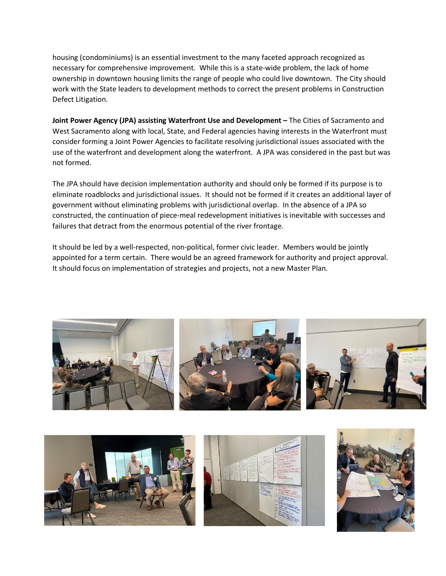housing (condominiums) is an essential investment to the many faceted approach recognized as necessary for comprehensive improvement. While this is a state-wide problem, the lack of home ownership in downtown housing limits the range of people who could live downtown. The City should work with the State leaders to development methods to correct the present problems in Construction Defect Litigation.

**Joint Power Agency (JPA) assisting Waterfront Use and Development –** The Cities of Sacramento and West Sacramento along with local, State, and Federal agencies having interests in the Waterfront must consider forming a Joint Power Agencies to facilitate resolving jurisdictional issues associated with the use of the waterfront and development along the waterfront. A JPA was considered in the past but was not formed.

The JPA should have decision implementation authority and should only be formed if its purpose is to eliminate roadblocks and jurisdictional issues. It should not be formed if it creates an additional layer of government without eliminating problems with jurisdictional overlap. In the absence of a JPA so constructed, the continuation of piece-meal redevelopment initiatives is inevitable with successes and failures that detract from the enormous potential of the river frontage.

It should be led by a well-respected, non-political, former civic leader. Members would be jointly appointed for a term certain. There would be an agreed framework for authority and project approval. It should focus on implementation of strategies and projects, not a new Master Plan.